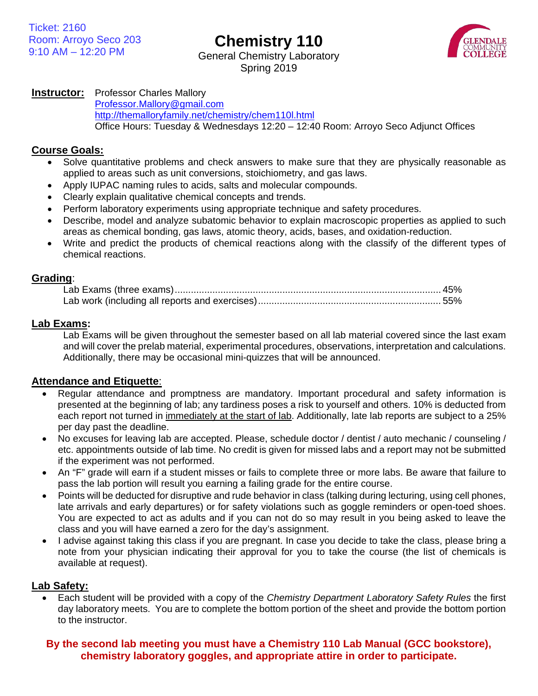**Chemistry 110**



General Chemistry Laboratory Spring 2019

## **Instructor:** Professor Charles Mallory

[Professor.Mallory@gmail.com](mailto:Professor.Mallory@gmail.com) <http://themalloryfamily.net/chemistry/chem110l.html> Office Hours: Tuesday & Wednesdays 12:20 – 12:40 Room: Arroyo Seco Adjunct Offices

#### **Course Goals:**

- Solve quantitative problems and check answers to make sure that they are physically reasonable as applied to areas such as unit conversions, stoichiometry, and gas laws.
- Apply IUPAC naming rules to acids, salts and molecular compounds.
- Clearly explain qualitative chemical concepts and trends.
- Perform laboratory experiments using appropriate technique and safety procedures.
- Describe, model and analyze subatomic behavior to explain macroscopic properties as applied to such areas as chemical bonding, gas laws, atomic theory, acids, bases, and oxidation-reduction.
- Write and predict the products of chemical reactions along with the classify of the different types of chemical reactions.

#### **Grading**:

### **Lab Exams:**

Lab Exams will be given throughout the semester based on all lab material covered since the last exam and will cover the prelab material, experimental procedures, observations, interpretation and calculations. Additionally, there may be occasional mini-quizzes that will be announced.

### **Attendance and Etiquette**:

- Regular attendance and promptness are mandatory. Important procedural and safety information is presented at the beginning of lab; any tardiness poses a risk to yourself and others. 10% is deducted from each report not turned in immediately at the start of lab. Additionally, late lab reports are subject to a 25% per day past the deadline.
- No excuses for leaving lab are accepted. Please, schedule doctor / dentist / auto mechanic / counseling / etc. appointments outside of lab time. No credit is given for missed labs and a report may not be submitted if the experiment was not performed.
- An "F" grade will earn if a student misses or fails to complete three or more labs. Be aware that failure to pass the lab portion will result you earning a failing grade for the entire course.
- Points will be deducted for disruptive and rude behavior in class (talking during lecturing, using cell phones, late arrivals and early departures) or for safety violations such as goggle reminders or open-toed shoes. You are expected to act as adults and if you can not do so may result in you being asked to leave the class and you will have earned a zero for the day's assignment.
- I advise against taking this class if you are pregnant. In case you decide to take the class, please bring a note from your physician indicating their approval for you to take the course (the list of chemicals is available at request).

### **Lab Safety:**

• Each student will be provided with a copy of the *Chemistry Department Laboratory Safety Rules* the first day laboratory meets. You are to complete the bottom portion of the sheet and provide the bottom portion to the instructor.

# **By the second lab meeting you must have a Chemistry 110 Lab Manual (GCC bookstore), chemistry laboratory goggles, and appropriate attire in order to participate.**